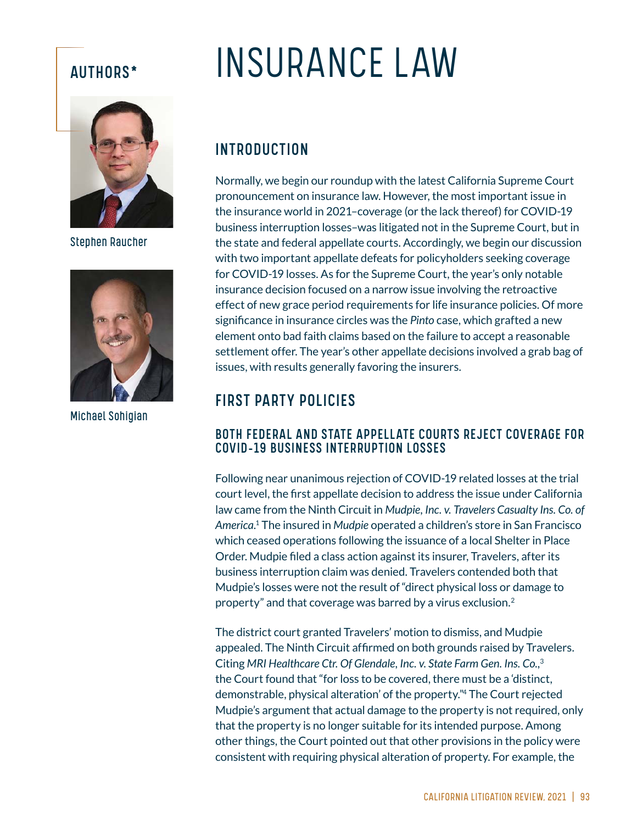

Stephen Raucher



Michael Sohigian

# AUTHORS\* INSURANCE LAW

# INTRODUCTION

Normally, we begin our roundup with the latest California Supreme Court pronouncement on insurance law. However, the most important issue in the insurance world in 2021–coverage (or the lack thereof) for COVID-19 business interruption losses–was litigated not in the Supreme Court, but in the state and federal appellate courts. Accordingly, we begin our discussion with two important appellate defeats for policyholders seeking coverage for COVID-19 losses. As for the Supreme Court, the year's only notable insurance decision focused on a narrow issue involving the retroactive effect of new grace period requirements for life insurance policies. Of more significance in insurance circles was the *Pinto* case, which grafted a new element onto bad faith claims based on the failure to accept a reasonable settlement offer. The year's other appellate decisions involved a grab bag of issues, with results generally favoring the insurers.

# FIRST PARTY POLICIES

### BOTH FEDERAL AND STATE APPELLATE COURTS REJECT COVERAGE FOR COVID-19 BUSINESS INTERRUPTION LOSSES

Following near unanimous rejection of COVID-19 related losses at the trial court level, the first appellate decision to address the issue under California law came from the Ninth Circuit in *Mudpie, Inc. v. Travelers Casualty Ins. Co. of America*. 1 The insured in *Mudpie* operated a children's store in San Francisco which ceased operations following the issuance of a local Shelter in Place Order. Mudpie filed a class action against its insurer, Travelers, after its business interruption claim was denied. Travelers contended both that Mudpie's losses were not the result of "direct physical loss or damage to property" and that coverage was barred by a virus exclusion.2

The district court granted Travelers' motion to dismiss, and Mudpie appealed. The Ninth Circuit affirmed on both grounds raised by Travelers. Citing *MRI Healthcare Ctr. Of Glendale, Inc. v. State Farm Gen. Ins. Co.*, 3 the Court found that "for loss to be covered, there must be a 'distinct, demonstrable, physical alteration' of the property."4 The Court rejected Mudpie's argument that actual damage to the property is not required, only that the property is no longer suitable for its intended purpose. Among other things, the Court pointed out that other provisions in the policy were consistent with requiring physical alteration of property. For example, the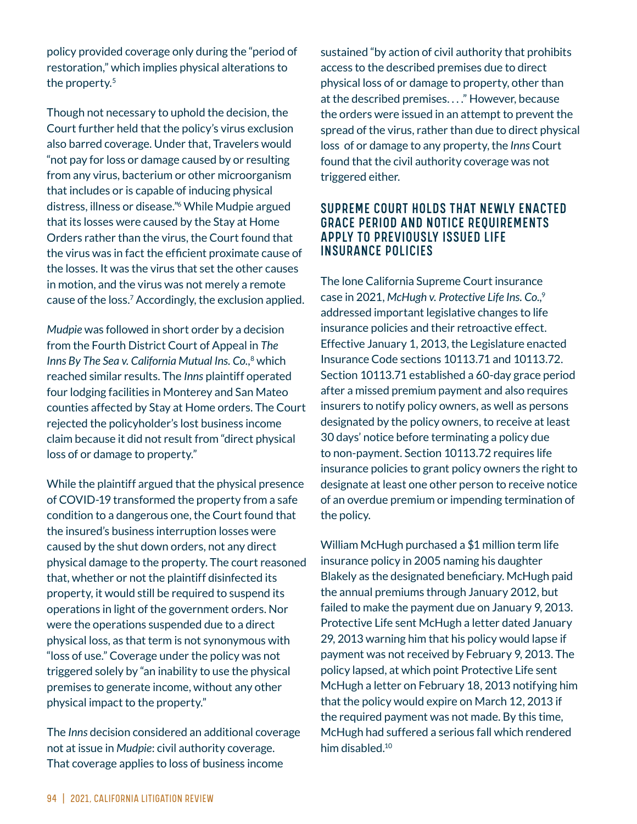policy provided coverage only during the "period of restoration," which implies physical alterations to the property.<sup>5</sup>

Though not necessary to uphold the decision, the Court further held that the policy's virus exclusion also barred coverage. Under that, Travelers would "not pay for loss or damage caused by or resulting from any virus, bacterium or other microorganism that includes or is capable of inducing physical distress, illness or disease."6 While Mudpie argued that its losses were caused by the Stay at Home Orders rather than the virus, the Court found that the virus was in fact the efficient proximate cause of the losses. It was the virus that set the other causes in motion, and the virus was not merely a remote cause of the loss.<sup>7</sup> Accordingly, the exclusion applied.

*Mudpie* was followed in short order by a decision from the Fourth District Court of Appeal in *The Inns By The Sea v. California Mutual Ins. Co.*, 8 which reached similar results. The *Inns* plaintiff operated four lodging facilities in Monterey and San Mateo counties affected by Stay at Home orders. The Court rejected the policyholder's lost business income claim because it did not result from "direct physical loss of or damage to property."

While the plaintiff argued that the physical presence of COVID-19 transformed the property from a safe condition to a dangerous one, the Court found that the insured's business interruption losses were caused by the shut down orders, not any direct physical damage to the property. The court reasoned that, whether or not the plaintiff disinfected its property, it would still be required to suspend its operations in light of the government orders. Nor were the operations suspended due to a direct physical loss, as that term is not synonymous with "loss of use." Coverage under the policy was not triggered solely by "an inability to use the physical premises to generate income, without any other physical impact to the property."

The *Inns* decision considered an additional coverage not at issue in *Mudpie*: civil authority coverage. That coverage applies to loss of business income

sustained "by action of civil authority that prohibits access to the described premises due to direct physical loss of or damage to property, other than at the described premises. . . ." However, because the orders were issued in an attempt to prevent the spread of the virus, rather than due to direct physical loss of or damage to any property, the *Inns* Court found that the civil authority coverage was not triggered either.

#### SUPREME COURT HOLDS THAT NEWLY ENACTED GRACE PERIOD AND NOTICE REQUIREMENTS APPLY TO PREVIOUSLY ISSUED LIFE INSURANCE POLICIES

The lone California Supreme Court insurance case in 2021, *McHugh v. Protective Life Ins. Co.*, 9 addressed important legislative changes to life insurance policies and their retroactive effect. Effective January 1, 2013, the Legislature enacted Insurance Code sections 10113.71 and 10113.72. Section 10113.71 established a 60-day grace period after a missed premium payment and also requires insurers to notify policy owners, as well as persons designated by the policy owners, to receive at least 30 days' notice before terminating a policy due to non-payment. Section 10113.72 requires life insurance policies to grant policy owners the right to designate at least one other person to receive notice of an overdue premium or impending termination of the policy.

William McHugh purchased a \$1 million term life insurance policy in 2005 naming his daughter Blakely as the designated beneficiary. McHugh paid the annual premiums through January 2012, but failed to make the payment due on January 9, 2013. Protective Life sent McHugh a letter dated January 29, 2013 warning him that his policy would lapse if payment was not received by February 9, 2013. The policy lapsed, at which point Protective Life sent McHugh a letter on February 18, 2013 notifying him that the policy would expire on March 12, 2013 if the required payment was not made. By this time, McHugh had suffered a serious fall which rendered him disabled.<sup>10</sup>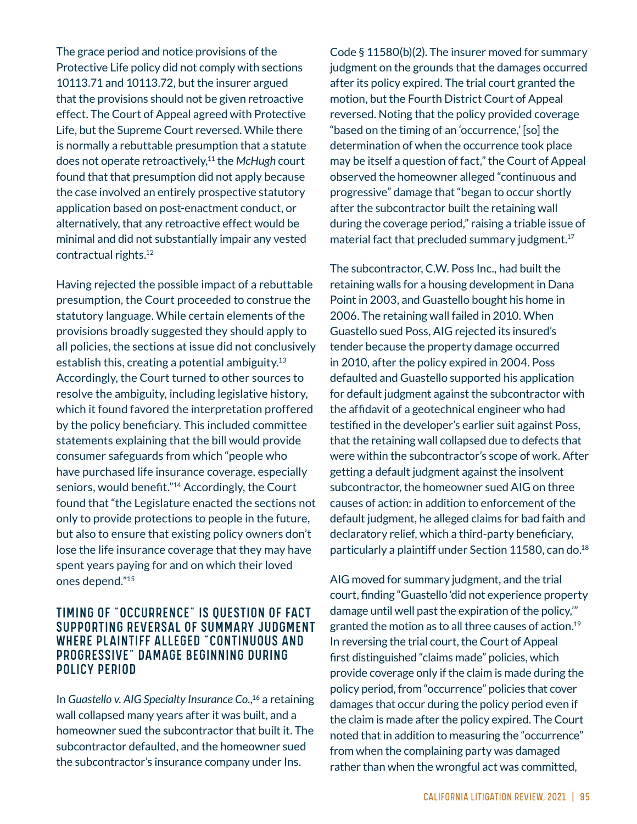The grace period and notice provisions of the Protective Life policy did not comply with sections 10113.71 and 10113.72, but the insurer argued that the provisions should not be given retroactive effect. The Court of Appeal agreed with Protective Life, but the Supreme Court reversed. While there is normally a rebuttable presumption that a statute does not operate retroactively,11 the *McHugh* court found that that presumption did not apply because the case involved an entirely prospective statutory application based on post-enactment conduct, or alternatively, that any retroactive effect would be minimal and did not substantially impair any vested contractual rights.12

Having rejected the possible impact of a rebuttable presumption, the Court proceeded to construe the statutory language. While certain elements of the provisions broadly suggested they should apply to all policies, the sections at issue did not conclusively establish this, creating a potential ambiguity. $13$ Accordingly, the Court turned to other sources to resolve the ambiguity, including legislative history, which it found favored the interpretation proffered by the policy beneficiary. This included committee statements explaining that the bill would provide consumer safeguards from which "people who have purchased life insurance coverage, especially seniors, would benefit."<sup>14</sup> Accordingly, the Court found that "the Legislature enacted the sections not only to provide protections to people in the future, but also to ensure that existing policy owners don't lose the life insurance coverage that they may have spent years paying for and on which their loved ones depend."15

#### TIMING OF "OCCURRENCE" IS QUESTION OF FACT SUPPORTING REVERSAL OF SUMMARY JUDGMENT WHERE PLAINTIFF ALLEGED "CONTINUOUS AND PROGRESSIVE" DAMAGE BEGINNING DURING POLICY PERIOD

In *Guastello v. AIG Specialty Insurance Co.*, 16 a retaining wall collapsed many years after it was built, and a homeowner sued the subcontractor that built it. The subcontractor defaulted, and the homeowner sued the subcontractor's insurance company under Ins.

Code  $\frac{11580(b)(2)}{2}$ . The insurer moved for summary judgment on the grounds that the damages occurred after its policy expired. The trial court granted the motion, but the Fourth District Court of Appeal reversed. Noting that the policy provided coverage "based on the timing of an 'occurrence,'  $[so]$  the determination of when the occurrence took place may be itself a question of fact," the Court of Appeal observed the homeowner alleged "continuous and progressive" damage that "began to occur shortly after the subcontractor built the retaining wall during the coverage period," raising a triable issue of material fact that precluded summary judgment.<sup>17</sup>

The subcontractor, C.W. Poss Inc., had built the retaining walls for a housing development in Dana Point in 2003, and Guastello bought his home in 2006. The retaining wall failed in 2010. When Guastello sued Poss, AIG rejected its insured's tender because the property damage occurred in 2010, after the policy expired in 2004. Poss defaulted and Guastello supported his application for default judgment against the subcontractor with the affidavit of a geotechnical engineer who had testified in the developer's earlier suit against Poss, that the retaining wall collapsed due to defects that were within the subcontractor's scope of work. After getting a default judgment against the insolvent subcontractor, the homeowner sued AIG on three causes of action: in addition to enforcement of the default judgment, he alleged claims for bad faith and declaratory relief, which a third-party beneficiary, particularly a plaintiff under Section 11580, can do.<sup>18</sup>

AIG moved for summary judgment, and the trial court, finding "Guastello 'did not experience property damage until well past the expiration of the policy,'" granted the motion as to all three causes of action.19 In reversing the trial court, the Court of Appeal first distinguished "claims made" policies, which provide coverage only if the claim is made during the policy period, from "occurrence" policies that cover damages that occur during the policy period even if the claim is made after the policy expired. The Court noted that in addition to measuring the "occurrence" from when the complaining party was damaged rather than when the wrongful act was committed,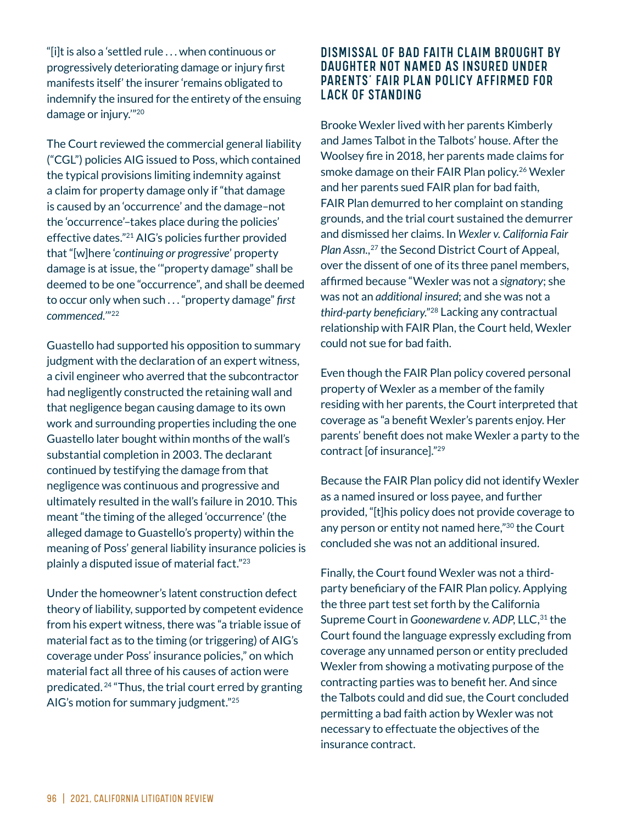"[i]t is also a 'settled rule  $\dots$  when continuous or progressively deteriorating damage or injury first manifests itself' the insurer 'remains obligated to indemnify the insured for the entirety of the ensuing damage or injury.'"20

The Court reviewed the commercial general liability ("CGL") policies AIG issued to Poss, which contained the typical provisions limiting indemnity against a claim for property damage only if "that damage is caused by an 'occurrence' and the damage–not the 'occurrence'–takes place during the policies' effective dates."21 AIG's policies further provided that "[w]here 'continuing or progressive' property damage is at issue, the '"property damage" shall be deemed to be one "occurrence", and shall be deemed to occur only when such . . . "property damage" first *commenced.'*"22

Guastello had supported his opposition to summary judgment with the declaration of an expert witness, a civil engineer who averred that the subcontractor had negligently constructed the retaining wall and that negligence began causing damage to its own work and surrounding properties including the one Guastello later bought within months of the wall's substantial completion in 2003. The declarant continued by testifying the damage from that negligence was continuous and progressive and ultimately resulted in the wall's failure in 2010. This meant "the timing of the alleged 'occurrence' (the alleged damage to Guastello's property) within the meaning of Poss' general liability insurance policies is plainly a disputed issue of material fact."23

Under the homeowner's latent construction defect theory of liability, supported by competent evidence from his expert witness, there was "a triable issue of material fact as to the timing (or triggering) of AIG's coverage under Poss' insurance policies," on which material fact all three of his causes of action were predicated. 24 "Thus, the trial court erred by granting AIG's motion for summary judgment."<sup>25</sup>

#### DISMISSAL OF BAD FAITH CLAIM BROUGHT BY DAUGHTER NOT NAMED AS INSURED UNDER PARENTS' FAIR PLAN POLICY AFFIRMED FOR LACK OF STANDING

Brooke Wexler lived with her parents Kimberly and James Talbot in the Talbots' house. After the Woolsey fire in 2018, her parents made claims for smoke damage on their FAIR Plan policy.<sup>26</sup> Wexler and her parents sued FAIR plan for bad faith, FAIR Plan demurred to her complaint on standing grounds, and the trial court sustained the demurrer and dismissed her claims. In *Wexler v. California Fair Plan Assn.*, 27 the Second District Court of Appeal, over the dissent of one of its three panel members, affirmed because "Wexler was not a *signatory*; she was not an *additional insured*; and she was not a *third-party beneficiary.*"<sup>28</sup> Lacking any contractual relationship with FAIR Plan, the Court held, Wexler could not sue for bad faith.

Even though the FAIR Plan policy covered personal property of Wexler as a member of the family residing with her parents, the Court interpreted that coverage as "a benefit Wexler's parents enjoy. Her parents' benefit does not make Wexler a party to the contract [of insurance]." $29$ 

Because the FAIR Plan policy did not identify Wexler as a named insured or loss payee, and further provided, "[t]his policy does not provide coverage to any person or entity not named here,"<sup>30</sup> the Court concluded she was not an additional insured.

Finally, the Court found Wexler was not a thirdparty beneficiary of the FAIR Plan policy. Applying the three part test set forth by the California Supreme Court in *Goonewardene v. ADP*, LLC,<sup>31</sup> the Court found the language expressly excluding from coverage any unnamed person or entity precluded Wexler from showing a motivating purpose of the contracting parties was to benefit her. And since the Talbots could and did sue, the Court concluded permitting a bad faith action by Wexler was not necessary to effectuate the objectives of the insurance contract.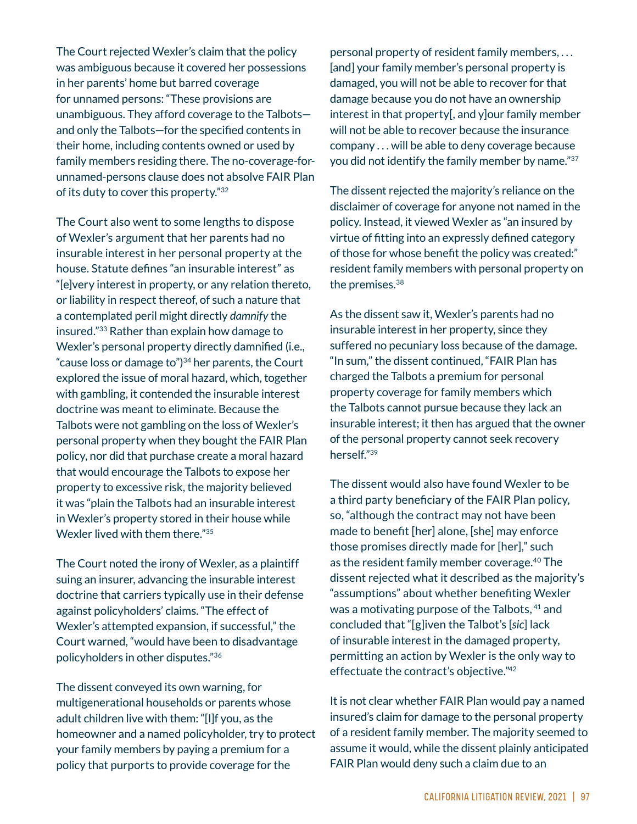The Court rejected Wexler's claim that the policy was ambiguous because it covered her possessions in her parents' home but barred coverage for unnamed persons: "These provisions are unambiguous. They afford coverage to the Talbots and only the Talbots-for the specified contents in their home, including contents owned or used by family members residing there. The no-coverage-forunnamed-persons clause does not absolve FAIR Plan of its duty to cover this property."32

The Court also went to some lengths to dispose of Wexler's argument that her parents had no insurable interest in her personal property at the house. Statute defines "an insurable interest" as "[e]very interest in property, or any relation thereto, or liability in respect thereof, of such a nature that a contemplated peril might directly *damnify* the insured."33 Rather than explain how damage to Wexler's personal property directly damnified (i.e., "cause loss or damage to" $34$  her parents, the Court explored the issue of moral hazard, which, together with gambling, it contended the insurable interest doctrine was meant to eliminate. Because the Talbots were not gambling on the loss of Wexler's personal property when they bought the FAIR Plan policy, nor did that purchase create a moral hazard that would encourage the Talbots to expose her property to excessive risk, the majority believed it was "plain the Talbots had an insurable interest in Wexler's property stored in their house while Wexler lived with them there."35

The Court noted the irony of Wexler, as a plaintiff suing an insurer, advancing the insurable interest doctrine that carriers typically use in their defense against policyholders' claims. "The effect of Wexler's attempted expansion, if successful," the Court warned, "would have been to disadvantage policyholders in other disputes."36

The dissent conveyed its own warning, for multigenerational households or parents whose adult children live with them: "[I]f you, as the homeowner and a named policyholder, try to protect your family members by paying a premium for a policy that purports to provide coverage for the

personal property of resident family members, . . . [and] your family member's personal property is damaged, you will not be able to recover for that damage because you do not have an ownership  $interest$  in that property[, and y] our family member will not be able to recover because the insurance company . . . will be able to deny coverage because you did not identify the family member by name."37

The dissent rejected the majority's reliance on the disclaimer of coverage for anyone not named in the policy. Instead, it viewed Wexler as "an insured by virtue of fitting into an expressly defined category of those for whose benefit the policy was created:" resident family members with personal property on the premises.38

As the dissent saw it, Wexler's parents had no insurable interest in her property, since they suffered no pecuniary loss because of the damage. "In sum," the dissent continued, "FAIR Plan has charged the Talbots a premium for personal property coverage for family members which the Talbots cannot pursue because they lack an insurable interest; it then has argued that the owner of the personal property cannot seek recovery herself."39

The dissent would also have found Wexler to be a third party beneficiary of the FAIR Plan policy, so, "although the contract may not have been made to benefit [her] alone, [she] may enforce those promises directly made for [her]," such as the resident family member coverage.40 The dissent rejected what it described as the majority's "assumptions" about whether benefiting Wexler was a motivating purpose of the Talbots, <sup>41</sup> and concluded that "[g]iven the Talbot's [sic] lack of insurable interest in the damaged property, permitting an action by Wexler is the only way to effectuate the contract's objective."42

It is not clear whether FAIR Plan would pay a named insured's claim for damage to the personal property of a resident family member. The majority seemed to assume it would, while the dissent plainly anticipated FAIR Plan would deny such a claim due to an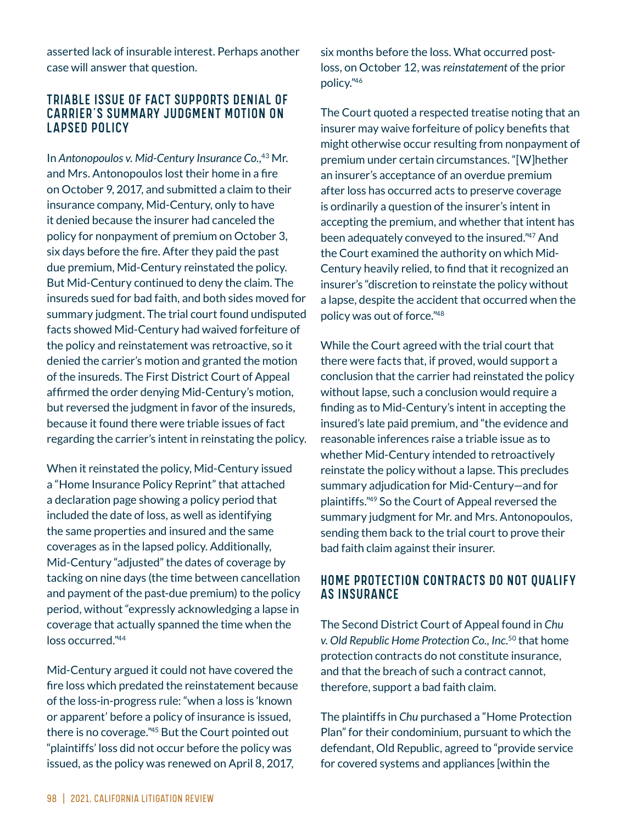asserted lack of insurable interest. Perhaps another case will answer that question.

#### TRIABLE ISSUE OF FACT SUPPORTS DENIAL OF CARRIER'S SUMMARY JUDGMENT MOTION ON LAPSED POLICY

In *Antonopoulos v. Mid-Century Insurance Co.*, 43 Mr. and Mrs. Antonopoulos lost their home in a fire on October 9, 2017, and submitted a claim to their insurance company, Mid-Century, only to have it denied because the insurer had canceled the policy for nonpayment of premium on October 3, six days before the fire. After they paid the past due premium, Mid-Century reinstated the policy. But Mid-Century continued to deny the claim. The insureds sued for bad faith, and both sides moved for summary judgment. The trial court found undisputed facts showed Mid-Century had waived forfeiture of the policy and reinstatement was retroactive, so it denied the carrier's motion and granted the motion of the insureds. The First District Court of Appeal affirmed the order denying Mid-Century's motion, but reversed the judgment in favor of the insureds, because it found there were triable issues of fact regarding the carrier's intent in reinstating the policy.

When it reinstated the policy, Mid-Century issued a "Home Insurance Policy Reprint" that attached a declaration page showing a policy period that included the date of loss, as well as identifying the same properties and insured and the same coverages as in the lapsed policy. Additionally, Mid-Century "adjusted" the dates of coverage by tacking on nine days (the time between cancellation and payment of the past-due premium) to the policy period, without "expressly acknowledging a lapse in coverage that actually spanned the time when the loss occurred."44

Mid-Century argued it could not have covered the fire loss which predated the reinstatement because of the loss-in-progress rule: "when a loss is 'known or apparent' before a policy of insurance is issued, there is no coverage."45 But the Court pointed out "plaintiffs' loss did not occur before the policy was issued, as the policy was renewed on April 8, 2017,

six months before the loss. What occurred postloss, on October 12, was *reinstatement* of the prior policy."46

The Court quoted a respected treatise noting that an insurer may waive forfeiture of policy benefits that might otherwise occur resulting from nonpayment of premium under certain circumstances. "[W]hether an insurer's acceptance of an overdue premium after loss has occurred acts to preserve coverage is ordinarily a question of the insurer's intent in accepting the premium, and whether that intent has been adequately conveyed to the insured."47 And the Court examined the authority on which Mid-Century heavily relied, to find that it recognized an insurer's "discretion to reinstate the policy without a lapse, despite the accident that occurred when the policy was out of force."48

While the Court agreed with the trial court that there were facts that, if proved, would support a conclusion that the carrier had reinstated the policy without lapse, such a conclusion would require a finding as to Mid-Century's intent in accepting the insured's late paid premium, and "the evidence and reasonable inferences raise a triable issue as to whether Mid-Century intended to retroactively reinstate the policy without a lapse. This precludes summary adjudication for Mid-Century—and for plaintiffs."49 So the Court of Appeal reversed the summary judgment for Mr. and Mrs. Antonopoulos, sending them back to the trial court to prove their bad faith claim against their insurer.

#### HOME PROTECTION CONTRACTS DO NOT QUALIFY AS INSURANCE

The Second District Court of Appeal found in *Chu v. Old Republic Home Protection Co., Inc.*50 that home protection contracts do not constitute insurance, and that the breach of such a contract cannot, therefore, support a bad faith claim.

The plaintiffs in *Chu* purchased a "Home Protection Plan" for their condominium, pursuant to which the defendant, Old Republic, agreed to "provide service for covered systems and appliances within the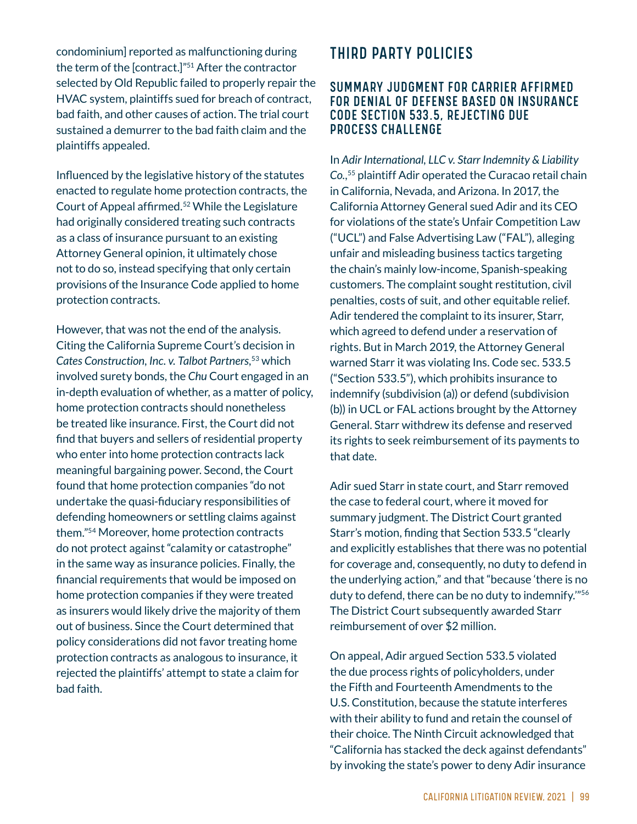condominium] reported as malfunctioning during the term of the  $[contract.]$ "<sup>51</sup> After the contractor selected by Old Republic failed to properly repair the HVAC system, plaintiffs sued for breach of contract, bad faith, and other causes of action. The trial court sustained a demurrer to the bad faith claim and the plaintiffs appealed.

Influenced by the legislative history of the statutes enacted to regulate home protection contracts, the Court of Appeal affirmed.<sup>52</sup> While the Legislature had originally considered treating such contracts as a class of insurance pursuant to an existing Attorney General opinion, it ultimately chose not to do so, instead specifying that only certain provisions of the Insurance Code applied to home protection contracts.

However, that was not the end of the analysis. Citing the California Supreme Court's decision in *Cates Construction, Inc. v. Talbot Partners*, 53 which involved surety bonds, the *Chu* Court engaged in an in-depth evaluation of whether, as a matter of policy, home protection contracts should nonetheless be treated like insurance. First, the Court did not find that buyers and sellers of residential property who enter into home protection contracts lack meaningful bargaining power. Second, the Court found that home protection companies "do not undertake the quasi-fiduciary responsibilities of defending homeowners or settling claims against them."54 Moreover, home protection contracts do not protect against "calamity or catastrophe" in the same way as insurance policies. Finally, the financial requirements that would be imposed on home protection companies if they were treated as insurers would likely drive the majority of them out of business. Since the Court determined that policy considerations did not favor treating home protection contracts as analogous to insurance, it rejected the plaintiffs' attempt to state a claim for bad faith.

# THIRD PARTY POLICIES

#### SUMMARY JUDGMENT FOR CARRIER AFFIRMED FOR DENIAL OF DEFENSE BASED ON INSURANCE CODE SECTION 533.5, REJECTING DUE PROCESS CHALLENGE

In *Adir International, LLC v. Starr Indemnity & Liability Co.*, 55 plaintiff Adir operated the Curacao retail chain in California, Nevada, and Arizona. In 2017, the California Attorney General sued Adir and its CEO for violations of the state's Unfair Competition Law ("UCL") and False Advertising Law ("FAL"), alleging unfair and misleading business tactics targeting the chain's mainly low-income, Spanish-speaking customers. The complaint sought restitution, civil penalties, costs of suit, and other equitable relief. Adir tendered the complaint to its insurer, Starr, which agreed to defend under a reservation of rights. But in March 2019, the Attorney General warned Starr it was violating Ins. Code sec. 533.5 ("Section 533.5"), which prohibits insurance to indemnify (subdivision (a)) or defend (subdivision (b)) in UCL or FAL actions brought by the Attorney General. Starr withdrew its defense and reserved its rights to seek reimbursement of its payments to that date.

Adir sued Starr in state court, and Starr removed the case to federal court, where it moved for summary judgment. The District Court granted Starr's motion, finding that Section 533.5 "clearly and explicitly establishes that there was no potential for coverage and, consequently, no duty to defend in the underlying action," and that "because 'there is no duty to defend, there can be no duty to indemnify.'"56 The District Court subsequently awarded Starr reimbursement of over \$2 million.

On appeal, Adir argued Section 533.5 violated the due process rights of policyholders, under the Fifth and Fourteenth Amendments to the U.S. Constitution, because the statute interferes with their ability to fund and retain the counsel of their choice. The Ninth Circuit acknowledged that "California has stacked the deck against defendants" by invoking the state's power to deny Adir insurance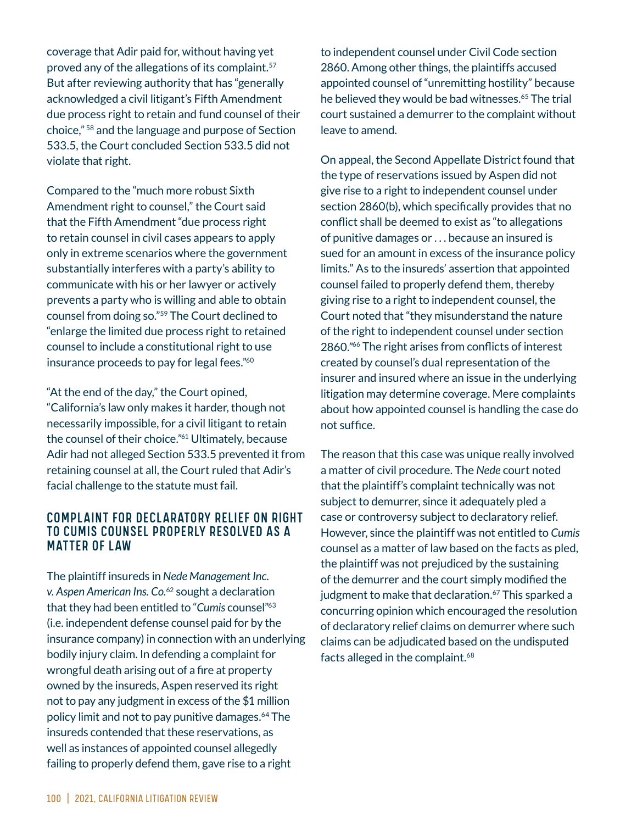coverage that Adir paid for, without having yet proved any of the allegations of its complaint.<sup>57</sup> But after reviewing authority that has "generally acknowledged a civil litigant's Fifth Amendment due process right to retain and fund counsel of their choice," 58 and the language and purpose of Section 533.5, the Court concluded Section 533.5 did not violate that right.

Compared to the "much more robust Sixth Amendment right to counsel," the Court said that the Fifth Amendment "due process right to retain counsel in civil cases appears to apply only in extreme scenarios where the government substantially interferes with a party's ability to communicate with his or her lawyer or actively prevents a party who is willing and able to obtain counsel from doing so."59 The Court declined to "enlarge the limited due process right to retained counsel to include a constitutional right to use insurance proceeds to pay for legal fees."<sup>60</sup>

"At the end of the day," the Court opined, "California's law only makes it harder, though not necessarily impossible, for a civil litigant to retain the counsel of their choice."61 Ultimately, because Adir had not alleged Section 533.5 prevented it from retaining counsel at all, the Court ruled that Adir's facial challenge to the statute must fail.

#### COMPLAINT FOR DECLARATORY RELIEF ON RIGHT TO CUMIS COUNSEL PROPERLY RESOLVED AS A MATTER OF LAW

The plaintiff insureds in *Nede Management Inc. v. Aspen American Ins. Co.*62 sought a declaration that they had been entitled to "*Cumis* counsel"63 (i.e. independent defense counsel paid for by the insurance company) in connection with an underlying bodily injury claim. In defending a complaint for wrongful death arising out of a fire at property owned by the insureds, Aspen reserved its right not to pay any judgment in excess of the \$1 million policy limit and not to pay punitive damages.64 The insureds contended that these reservations, as well as instances of appointed counsel allegedly failing to properly defend them, gave rise to a right

to independent counsel under Civil Code section 2860. Among other things, the plaintiffs accused appointed counsel of "unremitting hostility" because he believed they would be bad witnesses.<sup>65</sup> The trial court sustained a demurrer to the complaint without leave to amend.

On appeal, the Second Appellate District found that the type of reservations issued by Aspen did not give rise to a right to independent counsel under section 2860(b), which specifically provides that no conflict shall be deemed to exist as "to allegations of punitive damages or . . . because an insured is sued for an amount in excess of the insurance policy limits." As to the insureds' assertion that appointed counsel failed to properly defend them, thereby giving rise to a right to independent counsel, the Court noted that "they misunderstand the nature of the right to independent counsel under section 2860."<sup>66</sup> The right arises from conflicts of interest created by counsel's dual representation of the insurer and insured where an issue in the underlying litigation may determine coverage. Mere complaints about how appointed counsel is handling the case do not suffice.

The reason that this case was unique really involved a matter of civil procedure. The *Nede* court noted that the plaintiff's complaint technically was not subject to demurrer, since it adequately pled a case or controversy subject to declaratory relief. However, since the plaintiff was not entitled to *Cumis* counsel as a matter of law based on the facts as pled, the plaintiff was not prejudiced by the sustaining of the demurrer and the court simply modified the judgment to make that declaration.<sup>67</sup> This sparked a concurring opinion which encouraged the resolution of declaratory relief claims on demurrer where such claims can be adjudicated based on the undisputed facts alleged in the complaint.<sup>68</sup>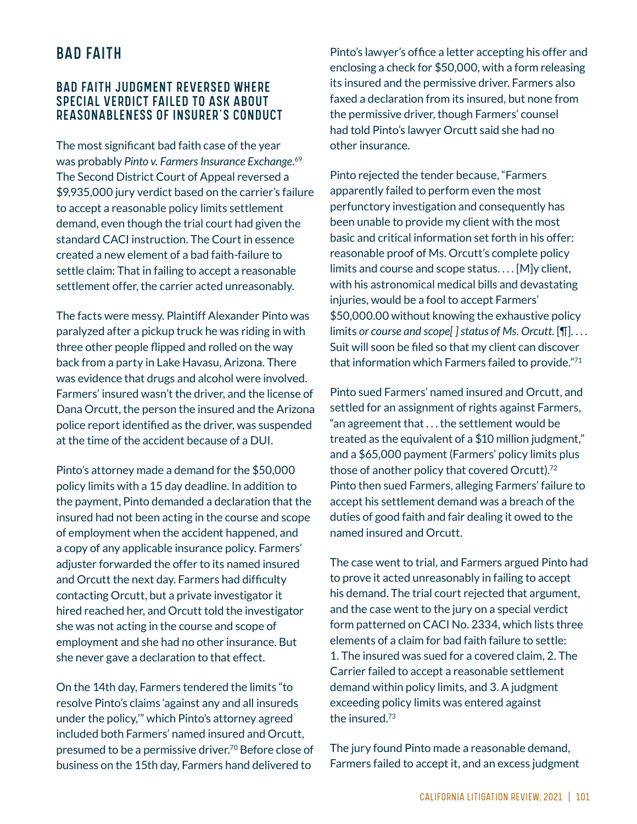## BAD FAITH

#### BAD FAITH JUDGMENT REVERSED WHERE SPECIAL VERDICT FAILED TO ASK ABOUT REASONABLENESS OF INSURER'S CONDUCT

The most significant bad faith case of the year was probably *Pinto v. Farmers Insurance Exchange*. 69 The Second District Court of Appeal reversed a \$9,935,000 jury verdict based on the carrier's failure to accept a reasonable policy limits settlement demand, even though the trial court had given the standard CACI instruction. The Court in essence created a new element of a bad faith-failure to settle claim: That in failing to accept a reasonable settlement offer, the carrier acted unreasonably.

The facts were messy. Plaintiff Alexander Pinto was paralyzed after a pickup truck he was riding in with three other people flipped and rolled on the way back from a party in Lake Havasu, Arizona. There was evidence that drugs and alcohol were involved. Farmers' insured wasn't the driver, and the license of Dana Orcutt, the person the insured and the Arizona police report identified as the driver, was suspended at the time of the accident because of a DUI.

Pinto's attorney made a demand for the \$50,000 policy limits with a 15 day deadline. In addition to the payment, Pinto demanded a declaration that the insured had not been acting in the course and scope of employment when the accident happened, and a copy of any applicable insurance policy. Farmers' adjuster forwarded the offer to its named insured and Orcutt the next day. Farmers had difficulty contacting Orcutt, but a private investigator it hired reached her, and Orcutt told the investigator she was not acting in the course and scope of employment and she had no other insurance. But she never gave a declaration to that effect.

On the 14th day, Farmers tendered the limits "to resolve Pinto's claims 'against any and all insureds under the policy,'" which Pinto's attorney agreed included both Farmers' named insured and Orcutt, presumed to be a permissive driver.<sup>70</sup> Before close of business on the 15th day, Farmers hand delivered to

Pinto's lawyer's office a letter accepting his offer and enclosing a check for \$50,000, with a form releasing its insured and the permissive driver. Farmers also faxed a declaration from its insured, but none from the permissive driver, though Farmers' counsel had told Pinto's lawyer Orcutt said she had no other insurance.

Pinto rejected the tender because, "Farmers apparently failed to perform even the most perfunctory investigation and consequently has been unable to provide my client with the most basic and critical information set forth in his offer: reasonable proof of Ms. Orcutt's complete policy limits and course and scope status.... [M]y client, with his astronomical medical bills and devastating injuries, would be a fool to accept Farmers' \$50,000.00 without knowing the exhaustive policy limits or course and scope[] status of Ms. Orcutt.  $[\P]$ .... Suit will soon be filed so that my client can discover that information which Farmers failed to provide."71

Pinto sued Farmers' named insured and Orcutt, and settled for an assignment of rights against Farmers, "an agreement that . . . the settlement would be treated as the equivalent of a \$10 million judgment," and a \$65,000 payment (Farmers' policy limits plus those of another policy that covered Orcutt).72 Pinto then sued Farmers, alleging Farmers' failure to accept his settlement demand was a breach of the duties of good faith and fair dealing it owed to the named insured and Orcutt.

The case went to trial, and Farmers argued Pinto had to prove it acted unreasonably in failing to accept his demand. The trial court rejected that argument, and the case went to the jury on a special verdict form patterned on CACI No. 2334, which lists three elements of a claim for bad faith failure to settle: 1. The insured was sued for a covered claim, 2. The Carrier failed to accept a reasonable settlement demand within policy limits, and 3. A judgment exceeding policy limits was entered against the insured.73

The jury found Pinto made a reasonable demand, Farmers failed to accept it, and an excess judgment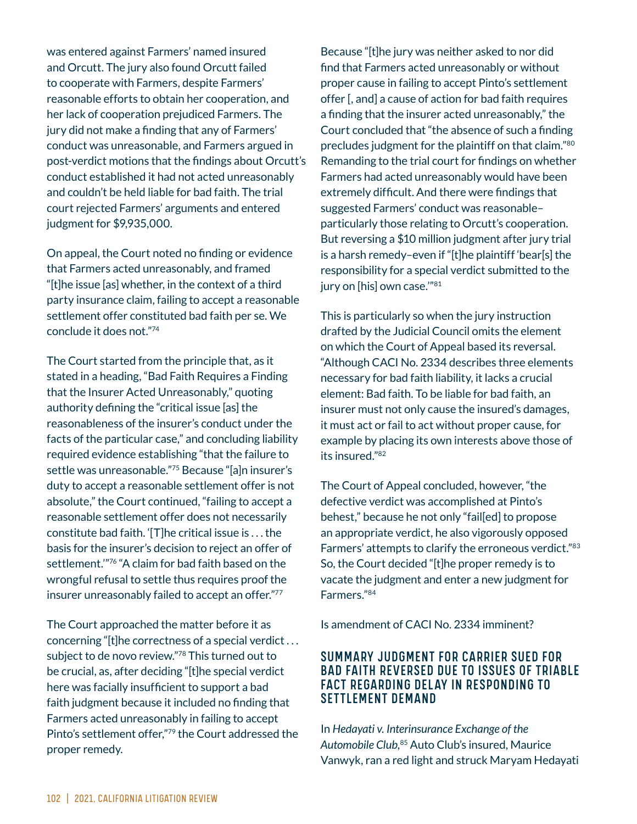was entered against Farmers' named insured and Orcutt. The jury also found Orcutt failed to cooperate with Farmers, despite Farmers' reasonable efforts to obtain her cooperation, and her lack of cooperation prejudiced Farmers. The jury did not make a finding that any of Farmers' conduct was unreasonable, and Farmers argued in post-verdict motions that the findings about Orcutt's conduct established it had not acted unreasonably and couldn't be held liable for bad faith. The trial court rejected Farmers' arguments and entered judgment for \$9,935,000.

On appeal, the Court noted no finding or evidence that Farmers acted unreasonably, and framed "[t]he issue [as] whether, in the context of a third party insurance claim, failing to accept a reasonable settlement offer constituted bad faith per se. We conclude it does not."74

The Court started from the principle that, as it stated in a heading, "Bad Faith Requires a Finding that the Insurer Acted Unreasonably," quoting authority defining the "critical issue [as] the reasonableness of the insurer's conduct under the facts of the particular case," and concluding liability required evidence establishing "that the failure to settle was unreasonable."75 Because "[a]n insurer's duty to accept a reasonable settlement offer is not absolute," the Court continued, "failing to accept a reasonable settlement offer does not necessarily constitute bad faith. ' $|T|$ he critical issue is . . . the basis for the insurer's decision to reject an offer of settlement."<sup>76</sup> "A claim for bad faith based on the wrongful refusal to settle thus requires proof the insurer unreasonably failed to accept an offer."77

The Court approached the matter before it as concerning "[t]he correctness of a special verdict ... subject to de novo review."78 This turned out to be crucial, as, after deciding "[t]he special verdict here was facially insufficient to support a bad faith judgment because it included no finding that Farmers acted unreasonably in failing to accept Pinto's settlement offer,"79 the Court addressed the proper remedy.

Because "[t]he jury was neither asked to nor did find that Farmers acted unreasonably or without proper cause in failing to accept Pinto's settlement offer  $\mathsf{I}$ , and a cause of action for bad faith requires a finding that the insurer acted unreasonably," the Court concluded that "the absence of such a finding precludes judgment for the plaintiff on that claim."80 Remanding to the trial court for findings on whether Farmers had acted unreasonably would have been extremely difficult. And there were findings that suggested Farmers' conduct was reasonable– particularly those relating to Orcutt's cooperation. But reversing a \$10 million judgment after jury trial is a harsh remedy–even if "[t]he plaintiff 'bear[s] the responsibility for a special verdict submitted to the jury on [his] own case."81

This is particularly so when the jury instruction drafted by the Judicial Council omits the element on which the Court of Appeal based its reversal. "Although CACI No. 2334 describes three elements necessary for bad faith liability, it lacks a crucial element: Bad faith. To be liable for bad faith, an insurer must not only cause the insured's damages, it must act or fail to act without proper cause, for example by placing its own interests above those of its insured."82

The Court of Appeal concluded, however, "the defective verdict was accomplished at Pinto's behest," because he not only "fail[ed] to propose an appropriate verdict, he also vigorously opposed Farmers' attempts to clarify the erroneous verdict."83 So, the Court decided "[t]he proper remedy is to vacate the judgment and enter a new judgment for Farmers."84

Is amendment of CACI No. 2334 imminent?

#### SUMMARY JUDGMENT FOR CARRIER SUED FOR BAD FAITH REVERSED DUE TO ISSUES OF TRIABLE FACT REGARDING DELAY IN RESPONDING TO SETTLEMENT DEMAND

In *Hedayati v. Interinsurance Exchange of the Automobile Club*, 85 Auto Club's insured, Maurice Vanwyk, ran a red light and struck Maryam Hedayati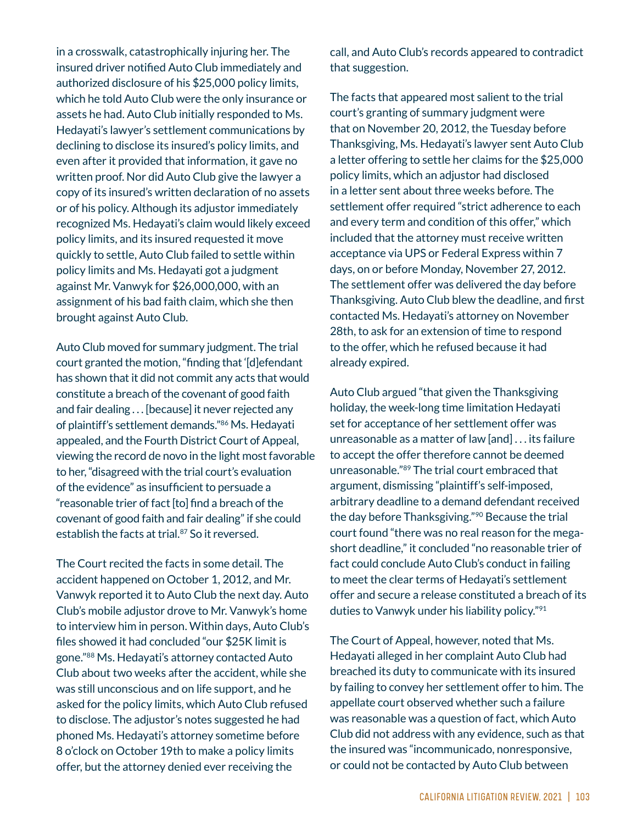in a crosswalk, catastrophically injuring her. The insured driver notified Auto Club immediately and authorized disclosure of his \$25,000 policy limits, which he told Auto Club were the only insurance or assets he had. Auto Club initially responded to Ms. Hedayati's lawyer's settlement communications by declining to disclose its insured's policy limits, and even after it provided that information, it gave no written proof. Nor did Auto Club give the lawyer a copy of its insured's written declaration of no assets or of his policy. Although its adjustor immediately recognized Ms. Hedayati's claim would likely exceed policy limits, and its insured requested it move quickly to settle, Auto Club failed to settle within policy limits and Ms. Hedayati got a judgment against Mr. Vanwyk for \$26,000,000, with an assignment of his bad faith claim, which she then brought against Auto Club.

Auto Club moved for summary judgment. The trial court granted the motion, "finding that '[d] efendant has shown that it did not commit any acts that would constitute a breach of the covenant of good faith and fair dealing  $\dots$  [because] it never rejected any of plaintiff's settlement demands."86 Ms. Hedayati appealed, and the Fourth District Court of Appeal, viewing the record de novo in the light most favorable to her, "disagreed with the trial court's evaluation of the evidence" as insufficient to persuade a "reasonable trier of fact [to] find a breach of the covenant of good faith and fair dealing" if she could establish the facts at trial.<sup>87</sup> So it reversed.

The Court recited the facts in some detail. The accident happened on October 1, 2012, and Mr. Vanwyk reported it to Auto Club the next day. Auto Club's mobile adjustor drove to Mr. Vanwyk's home to interview him in person. Within days, Auto Club's files showed it had concluded "our \$25K limit is gone."88 Ms. Hedayati's attorney contacted Auto Club about two weeks after the accident, while she was still unconscious and on life support, and he asked for the policy limits, which Auto Club refused to disclose. The adjustor's notes suggested he had phoned Ms. Hedayati's attorney sometime before 8 o'clock on October 19th to make a policy limits offer, but the attorney denied ever receiving the

call, and Auto Club's records appeared to contradict that suggestion.

The facts that appeared most salient to the trial court's granting of summary judgment were that on November 20, 2012, the Tuesday before Thanksgiving, Ms. Hedayati's lawyer sent Auto Club a letter offering to settle her claims for the \$25,000 policy limits, which an adjustor had disclosed in a letter sent about three weeks before. The settlement offer required "strict adherence to each and every term and condition of this offer," which included that the attorney must receive written acceptance via UPS or Federal Express within 7 days, on or before Monday, November 27, 2012. The settlement offer was delivered the day before Thanksgiving. Auto Club blew the deadline, and first contacted Ms. Hedayati's attorney on November 28th, to ask for an extension of time to respond to the offer, which he refused because it had already expired.

Auto Club argued "that given the Thanksgiving holiday, the week-long time limitation Hedayati set for acceptance of her settlement offer was unreasonable as a matter of law  $[and] \dots$  its failure to accept the offer therefore cannot be deemed unreasonable."89 The trial court embraced that argument, dismissing "plaintiff's self-imposed, arbitrary deadline to a demand defendant received the day before Thanksgiving."90 Because the trial court found "there was no real reason for the megashort deadline," it concluded "no reasonable trier of fact could conclude Auto Club's conduct in failing to meet the clear terms of Hedayati's settlement offer and secure a release constituted a breach of its duties to Vanwyk under his liability policy."91

The Court of Appeal, however, noted that Ms. Hedayati alleged in her complaint Auto Club had breached its duty to communicate with its insured by failing to convey her settlement offer to him. The appellate court observed whether such a failure was reasonable was a question of fact, which Auto Club did not address with any evidence, such as that the insured was "incommunicado, nonresponsive, or could not be contacted by Auto Club between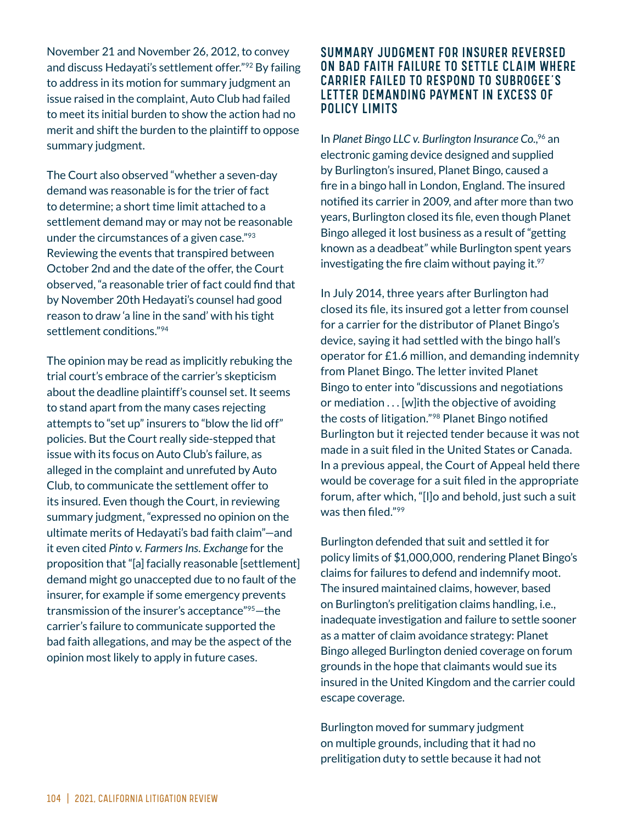November 21 and November 26, 2012, to convey and discuss Hedayati's settlement offer."92 By failing to address in its motion for summary judgment an issue raised in the complaint, Auto Club had failed to meet its initial burden to show the action had no merit and shift the burden to the plaintiff to oppose summary judgment.

The Court also observed "whether a seven-day demand was reasonable is for the trier of fact to determine; a short time limit attached to a settlement demand may or may not be reasonable under the circumstances of a given case." $93$ Reviewing the events that transpired between October 2nd and the date of the offer, the Court observed, "a reasonable trier of fact could find that by November 20th Hedayati's counsel had good reason to draw 'a line in the sand' with his tight settlement conditions."94

The opinion may be read as implicitly rebuking the trial court's embrace of the carrier's skepticism about the deadline plaintiff's counsel set. It seems to stand apart from the many cases rejecting attempts to "set up" insurers to "blow the lid off" policies. But the Court really side-stepped that issue with its focus on Auto Club's failure, as alleged in the complaint and unrefuted by Auto Club, to communicate the settlement offer to its insured. Even though the Court, in reviewing summary judgment, "expressed no opinion on the ultimate merits of Hedayati's bad faith claim"—and it even cited *Pinto v. Farmers Ins. Exchange* for the proposition that "[a] facially reasonable [settlement] demand might go unaccepted due to no fault of the insurer, for example if some emergency prevents transmission of the insurer's acceptance"95—the carrier's failure to communicate supported the bad faith allegations, and may be the aspect of the opinion most likely to apply in future cases.

#### SUMMARY JUDGMENT FOR INSURER REVERSED ON BAD FAITH FAILURE TO SETTLE CLAIM WHERE CARRIER FAILED TO RESPOND TO SUBROGEE'S LETTER DEMANDING PAYMENT IN EXCESS OF POLICY LIMITS

In *Planet Bingo LLC v. Burlington Insurance Co.*, 96 an electronic gaming device designed and supplied by Burlington's insured, Planet Bingo, caused a fire in a bingo hall in London, England. The insured notified its carrier in 2009, and after more than two years, Burlington closed its file, even though Planet Bingo alleged it lost business as a result of "getting known as a deadbeat" while Burlington spent years investigating the fire claim without paying it. $27$ 

In July 2014, three years after Burlington had closed its file, its insured got a letter from counsel for a carrier for the distributor of Planet Bingo's device, saying it had settled with the bingo hall's operator for £1.6 million, and demanding indemnity from Planet Bingo. The letter invited Planet Bingo to enter into "discussions and negotiations or mediation  $\dots$  [w] ith the objective of avoiding the costs of litigation."<sup>98</sup> Planet Bingo notified Burlington but it rejected tender because it was not made in a suit filed in the United States or Canada. In a previous appeal, the Court of Appeal held there would be coverage for a suit filed in the appropriate forum, after which, "[I]o and behold, just such a suit was then filed."99

Burlington defended that suit and settled it for policy limits of \$1,000,000, rendering Planet Bingo's claims for failures to defend and indemnify moot. The insured maintained claims, however, based on Burlington's prelitigation claims handling, i.e., inadequate investigation and failure to settle sooner as a matter of claim avoidance strategy: Planet Bingo alleged Burlington denied coverage on forum grounds in the hope that claimants would sue its insured in the United Kingdom and the carrier could escape coverage.

Burlington moved for summary judgment on multiple grounds, including that it had no prelitigation duty to settle because it had not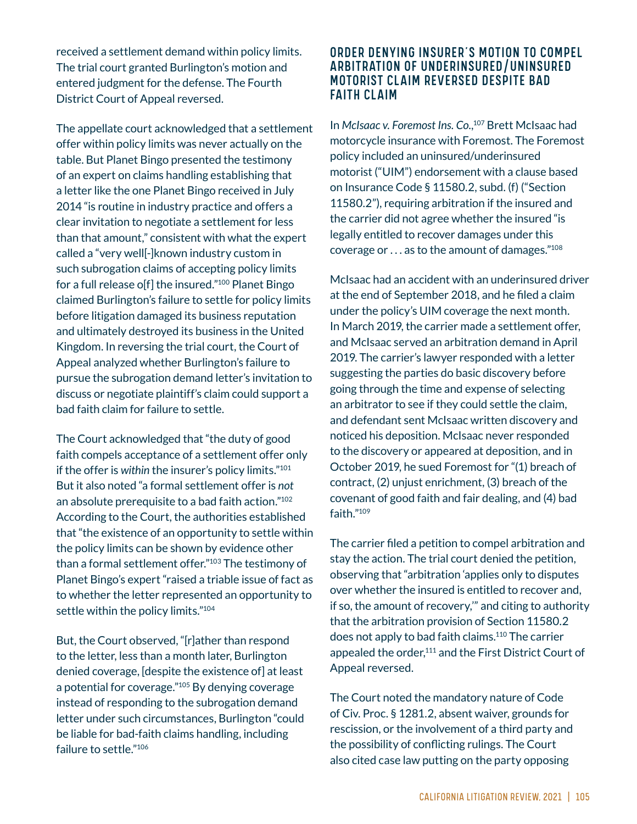received a settlement demand within policy limits. The trial court granted Burlington's motion and entered judgment for the defense. The Fourth District Court of Appeal reversed.

The appellate court acknowledged that a settlement offer within policy limits was never actually on the table. But Planet Bingo presented the testimony of an expert on claims handling establishing that a letter like the one Planet Bingo received in July 2014 "is routine in industry practice and offers a clear invitation to negotiate a settlement for less than that amount," consistent with what the expert called a "very well[-]known industry custom in such subrogation claims of accepting policy limits for a full release o[f] the insured." $100$  Planet Bingo claimed Burlington's failure to settle for policy limits before litigation damaged its business reputation and ultimately destroyed its business in the United Kingdom. In reversing the trial court, the Court of Appeal analyzed whether Burlington's failure to pursue the subrogation demand letter's invitation to discuss or negotiate plaintiff's claim could support a bad faith claim for failure to settle.

The Court acknowledged that "the duty of good faith compels acceptance of a settlement offer only if the offer is *within* the insurer's policy limits."101 But it also noted "a formal settlement offer is *not* an absolute prerequisite to a bad faith action."102 According to the Court, the authorities established that "the existence of an opportunity to settle within the policy limits can be shown by evidence other than a formal settlement offer."103 The testimony of Planet Bingo's expert "raised a triable issue of fact as to whether the letter represented an opportunity to settle within the policy limits."104

But, the Court observed, "[r]ather than respond to the letter, less than a month later, Burlington denied coverage, despite the existence of at least a potential for coverage."105 By denying coverage instead of responding to the subrogation demand letter under such circumstances, Burlington "could be liable for bad-faith claims handling, including failure to settle."106

#### ORDER DENYING INSURER'S MOTION TO COMPEL ARBITRATION OF UNDERINSURED/UNINSURED MOTORIST CLAIM REVERSED DESPITE BAD FAITH CLAIM

In *McIsaac v. Foremost Ins. Co.*, 107 Brett McIsaac had motorcycle insurance with Foremost. The Foremost policy included an uninsured/underinsured motorist ("UIM") endorsement with a clause based on Insurance Code § 11580.2, subd. (f) ("Section 11580.2"), requiring arbitration if the insured and the carrier did not agree whether the insured "is legally entitled to recover damages under this coverage or  $\dots$  as to the amount of damages." $108$ 

McIsaac had an accident with an underinsured driver at the end of September 2018, and he filed a claim under the policy's UIM coverage the next month. In March 2019, the carrier made a settlement offer, and McIsaac served an arbitration demand in April 2019. The carrier's lawyer responded with a letter suggesting the parties do basic discovery before going through the time and expense of selecting an arbitrator to see if they could settle the claim, and defendant sent McIsaac written discovery and noticed his deposition. McIsaac never responded to the discovery or appeared at deposition, and in October 2019, he sued Foremost for "(1) breach of contract, (2) unjust enrichment, (3) breach of the covenant of good faith and fair dealing, and (4) bad faith."109

The carrier filed a petition to compel arbitration and stay the action. The trial court denied the petition, observing that "arbitration 'applies only to disputes over whether the insured is entitled to recover and, if so, the amount of recovery,'" and citing to authority that the arbitration provision of Section 11580.2 does not apply to bad faith claims.110 The carrier appealed the order,<sup>111</sup> and the First District Court of Appeal reversed.

The Court noted the mandatory nature of Code of Civ. Proc. § 1281.2, absent waiver, grounds for rescission, or the involvement of a third party and the possibility of conflicting rulings. The Court also cited case law putting on the party opposing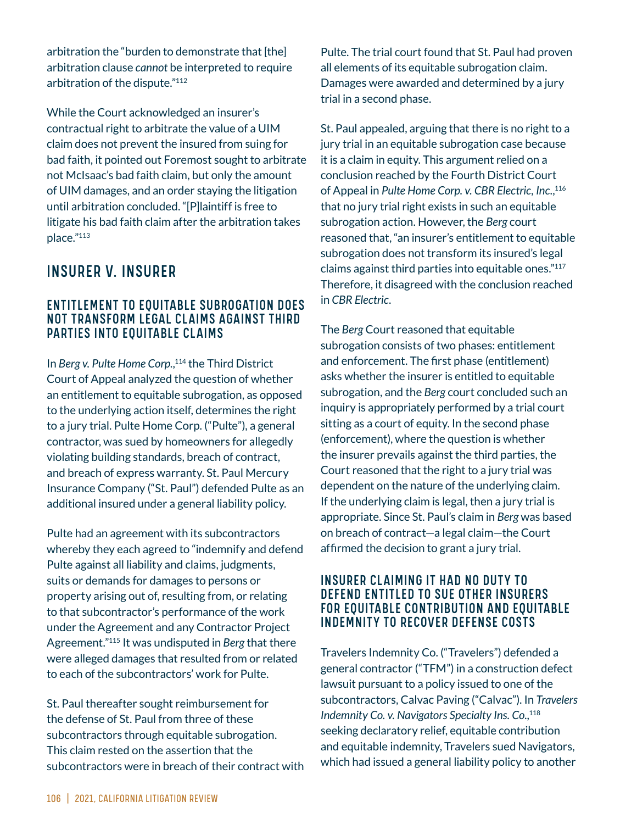arbitration the "burden to demonstrate that [the] arbitration clause *cannot* be interpreted to require arbitration of the dispute."112

While the Court acknowledged an insurer's contractual right to arbitrate the value of a UIM claim does not prevent the insured from suing for bad faith, it pointed out Foremost sought to arbitrate not McIsaac's bad faith claim, but only the amount of UIM damages, and an order staying the litigation until arbitration concluded. "[P]laintiff is free to litigate his bad faith claim after the arbitration takes place."113

# INSURER V. INSURER

#### ENTITLEMENT TO EQUITABLE SUBROGATION DOES NOT TRANSFORM LEGAL CLAIMS AGAINST THIRD PARTIES INTO EQUITABLE CLAIMS

In *Berg v. Pulte Home Corp.*, 114 the Third District Court of Appeal analyzed the question of whether an entitlement to equitable subrogation, as opposed to the underlying action itself, determines the right to a jury trial. Pulte Home Corp. ("Pulte"), a general contractor, was sued by homeowners for allegedly violating building standards, breach of contract, and breach of express warranty. St. Paul Mercury Insurance Company ("St. Paul") defended Pulte as an additional insured under a general liability policy.

Pulte had an agreement with its subcontractors whereby they each agreed to "indemnify and defend Pulte against all liability and claims, judgments, suits or demands for damages to persons or property arising out of, resulting from, or relating to that subcontractor's performance of the work under the Agreement and any Contractor Project Agreement."115 It was undisputed in *Berg* that there were alleged damages that resulted from or related to each of the subcontractors' work for Pulte.

St. Paul thereafter sought reimbursement for the defense of St. Paul from three of these subcontractors through equitable subrogation. This claim rested on the assertion that the subcontractors were in breach of their contract with Pulte. The trial court found that St. Paul had proven all elements of its equitable subrogation claim. Damages were awarded and determined by a jury trial in a second phase.

St. Paul appealed, arguing that there is no right to a jury trial in an equitable subrogation case because it is a claim in equity. This argument relied on a conclusion reached by the Fourth District Court of Appeal in *Pulte Home Corp. v. CBR Electric, Inc.*, 116 that no jury trial right exists in such an equitable subrogation action. However, the *Berg* court reasoned that, "an insurer's entitlement to equitable subrogation does not transform its insured's legal claims against third parties into equitable ones."117 Therefore, it disagreed with the conclusion reached in *CBR Electric*.

The *Berg* Court reasoned that equitable subrogation consists of two phases: entitlement and enforcement. The first phase (entitlement) asks whether the insurer is entitled to equitable subrogation, and the *Berg* court concluded such an inquiry is appropriately performed by a trial court sitting as a court of equity. In the second phase (enforcement), where the question is whether the insurer prevails against the third parties, the Court reasoned that the right to a jury trial was dependent on the nature of the underlying claim. If the underlying claim is legal, then a jury trial is appropriate. Since St. Paul's claim in *Berg* was based on breach of contract—a legal claim—the Court affirmed the decision to grant a jury trial.

#### INSURER CLAIMING IT HAD NO DUTY TO DEFEND ENTITLED TO SUE OTHER INSURERS FOR EQUITABLE CONTRIBUTION AND EQUITABLE INDEMNITY TO RECOVER DEFENSE COSTS

Travelers Indemnity Co. ("Travelers") defended a general contractor ("TFM") in a construction defect lawsuit pursuant to a policy issued to one of the subcontractors, Calvac Paving ("Calvac"). In *Travelers Indemnity Co. v. Navigators Specialty Ins. Co.*, 118 seeking declaratory relief, equitable contribution and equitable indemnity, Travelers sued Navigators, which had issued a general liability policy to another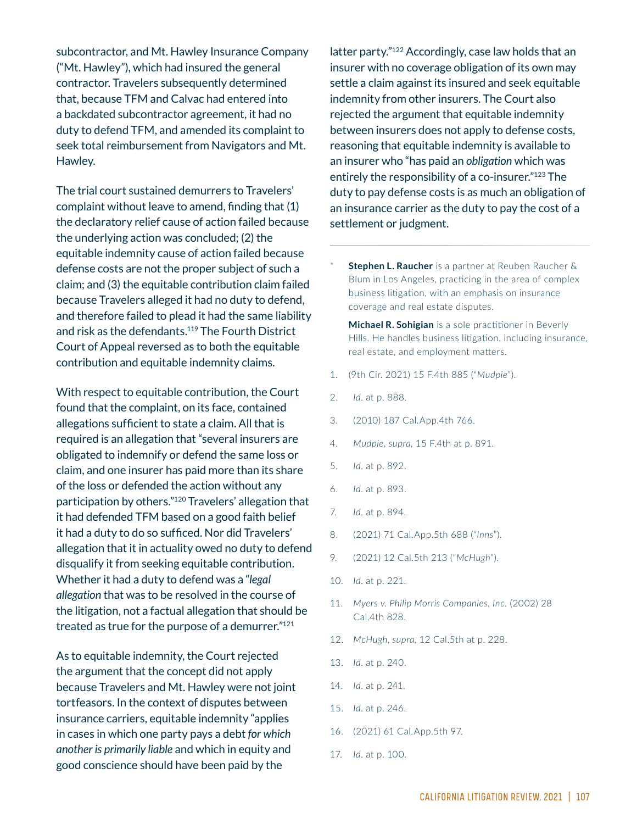subcontractor, and Mt. Hawley Insurance Company ("Mt. Hawley"), which had insured the general contractor. Travelers subsequently determined that, because TFM and Calvac had entered into a backdated subcontractor agreement, it had no duty to defend TFM, and amended its complaint to seek total reimbursement from Navigators and Mt. Hawley.

The trial court sustained demurrers to Travelers' complaint without leave to amend, finding that (1) the declaratory relief cause of action failed because the underlying action was concluded; (2) the equitable indemnity cause of action failed because defense costs are not the proper subject of such a claim; and (3) the equitable contribution claim failed because Travelers alleged it had no duty to defend, and therefore failed to plead it had the same liability and risk as the defendants.<sup>119</sup> The Fourth District Court of Appeal reversed as to both the equitable contribution and equitable indemnity claims.

With respect to equitable contribution, the Court found that the complaint, on its face, contained allegations sufficient to state a claim. All that is required is an allegation that "several insurers are obligated to indemnify or defend the same loss or claim, and one insurer has paid more than its share of the loss or defended the action without any participation by others."120 Travelers' allegation that it had defended TFM based on a good faith belief it had a duty to do so sufficed. Nor did Travelers' allegation that it in actuality owed no duty to defend disqualify it from seeking equitable contribution. Whether it had a duty to defend was a "*legal allegation* that was to be resolved in the course of the litigation, not a factual allegation that should be treated as true for the purpose of a demurrer."121

As to equitable indemnity, the Court rejected the argument that the concept did not apply because Travelers and Mt. Hawley were not joint tortfeasors. In the context of disputes between insurance carriers, equitable indemnity "applies in cases in which one party pays a debt *for which another is primarily liable* and which in equity and good conscience should have been paid by the

latter party."122 Accordingly, case law holds that an insurer with no coverage obligation of its own may settle a claim against its insured and seek equitable indemnity from other insurers. The Court also rejected the argument that equitable indemnity between insurers does not apply to defense costs, reasoning that equitable indemnity is available to an insurer who "has paid an *obligation* which was entirely the responsibility of a co-insurer."<sup>123</sup> The duty to pay defense costs is as much an obligation of an insurance carrier as the duty to pay the cost of a settlement or judgment.

\* Stephen L. Raucher is a partner at Reuben Raucher & Blum in Los Angeles, practicing in the area of complex business litigation, with an emphasis on insurance coverage and real estate disputes.

**Michael R. Sohigian** is a sole practitioner in Beverly Hills. He handles business litigation, including insurance, real estate, and employment matters.

- 1. (9th Cir. 2021) 15 F.4th 885 ("Mudpie").
- 2. *Id.* at p. 888.
- 3. (2010) 187 Cal.App.4th 766.
- 4. Mudpie, *supra*, 15 F.4th at p. 891.
- 5. *Id.* at p. 892.
- 6. *Id.* at p. 893.
- 7. *Id.* at p. 894.
- 8. (2021) 71 Cal.App.5th 688 ("Inns").
- 9. (2021) 12 Cal.5th 213 ("McHugh").
- 10. *Id.* at p. 221.
- 11. Myers v. Philip Morris Companies, Inc. (2002) 28 Cal.4th 828.
- 12. McHugh, supra, 12 Cal.5th at p. 228.
- 13. *Id.* at p. 240.
- 14. *Id.* at p. 241.
- 15. *Id.* at p. 246.
- 16. (2021) 61 Cal.App.5th 97.
- 17. *Id.* at p. 100.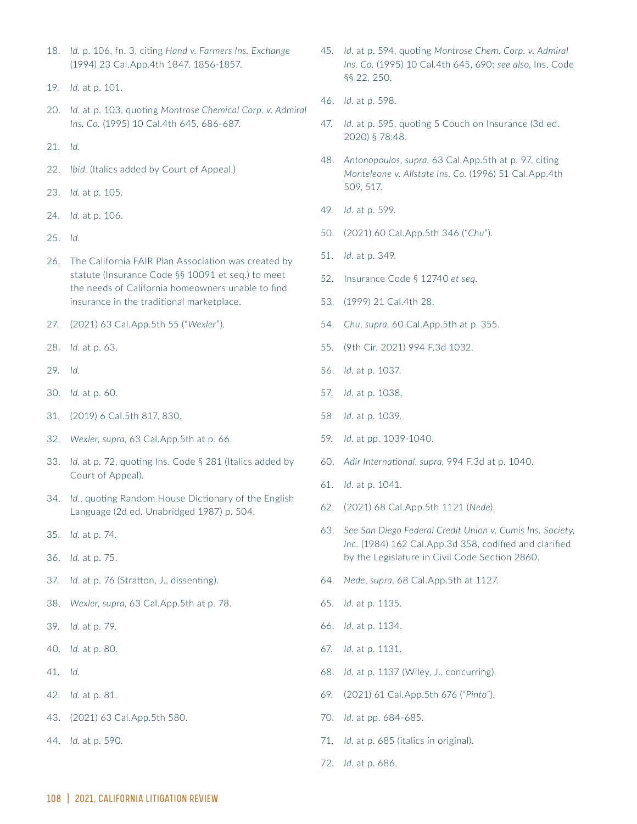- 18. Id. p. 106, fn. 3, citing Hand v. Farmers Ins. Exchange (1994) 23 Cal.App.4th 1847, 1856-1857.
- 19. *Id.* at p. 101.
- 20. Id. at p. 103, quoting Montrose Chemical Corp. v. Admiral *Ins. Co.* (1995) 10 Cal.4th 645, 686-687.
- Ƒ1. *Id*.
- 22. Ibid. (Italics added by Court of Appeal.)
- 23. *Id.* at p. 105.
- 24. *Id.* at p. 106.
- ƑƔ. *Id*.
- 26. The California FAIR Plan Association was created by statute (Insurance Code §§ 10091 et seg.) to meet the needs of California homeowners unable to find insurance in the traditional marketplace.
- 27. (2021) 63 Cal.App.5th 55 ("Wexler").
- 28. *Id.* at p. 63.
- ƑƖ. *Id*.
- 30. *Id.* at p. 60.
- 31. (2019) 6 Cal.5th 817, 830.
- 32. *Wexler, supra, 63 Cal.App.5th at p. 66.*
- 33. *Id.* at p. 72, quoting Ins. Code § 281 (Italics added by Court of Appeal).
- 34. *Id.*, quoting Random House Dictionary of the English Language (2d ed. Unabridged 1987) p. 504.
- ƒƔ. *Id*. at p. 7Ɠ.
- дъ. *Id.* at p. 75.
- 37. *Id.* at p. 76 (Stratton, J., dissenting).
- 38. *Wexler, supra, 63 Cal.App.5th at p. 78.*
- ƒƖ. *Id*. at p. 7Ɩ.
- 40. *Id.* at p. 80.
- Ɠ1. *Id.*
- ƓƑ. *Id*. at p. Ѷ1.
- 43. (2021) 63 Cal.App.5th 580.
- 44. *Id.* at p. 590.
- 45. *Id.* at p. 594, quoting Montrose Chem. Corp. v. Admiral *Ins. Co.* (1995) 10 Cal.4th 645, 690; see also, Ins. Code §§ 22. 250.
- 46. *Id.* at p. 598.
- 47. *Id.* at p. 595, quoting 5 Couch on Insurance (3d ed. 2020) § 78:48.
- 48. Antonopoulos, supra, 63 Cal.App.5th at p. 97, citing *Monteleone v. Allstate Ins. Co.* (1996) 51 Cal.App.4th 509, 517.
- 49. *Id.* at p. 599.
- 50. (2021) 60 Cal.App.5th 346 ("Chu").
- 51. *Id.* at p. 349.
- 52. Insurance Code § 12740 et seq.
- 53. (1999) 21 Cal.4th 28.
- 54. *Chu, supra, 60 Cal.App.5th at p. 355.*
- 55. (9th Cir. 2021) 994 F.3d 1032.
- 56. *Id.* at p. 1037.
- 57. *Id.* at p. 1038.
- 58. *Id.* at p. 1039.
- 59. *Id.* at pp. 1039-1040.
- 60. Adir International, supra, 994 F.3d at p. 1040.
- 61. *Id.* at p. 1041.
- 62. (2021) 68 Cal.App.5th 1121 (Nede).
- ѵƒ. *See San Diego Federal Credit Union v. Cumis Ins. Society, Inc.* (1984) 162 Cal.App.3d 358, codified and clarified by the Legislature in Civil Code Section 2860.
- 64. Nede, *supra*, 68 Cal. App. 5th at 1127.
- 65. *Id.* at p. 1135.
- 66. *Id.* at p. 1134.
- 67. *Id.* at p. 1131.
- 68. *Id.* at p. 1137 (Wiley, J., concurring).
- 69. (2021) 61 Cal.App.5th 676 ("Pinto").
- 70. *Id.* at pp. 684-685.
- 71. *Id.* at p. 685 (italics in original).
- 72. *Id.* at p. 686.